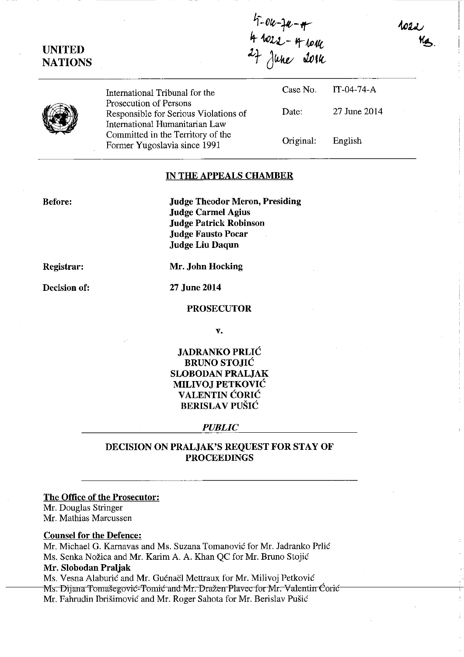$\mathbf{u}$   $\mathbf{v}$   $\mathbf{v}$ 'r- *-t<iLL--* It-*.{.o4l£.*   $~$ T June Josk

Case No.

(2)

UNITED **NATIONS** 

> International Tribunal for the Prosecution of Persons Responsible for Serious Violations of International Humanitarian Law Committed in the Territory of the Former Yugoslavia since 1991

| Date:     | 27 June 2014 |
|-----------|--------------|
| Original: | English      |

IT-04-74-A

### IN THE APPEALS CHAMBER

Before:

Judge Theodor Meron, Presiding Judge Carmel Agius Judge Patrick Robinson Judge Fausto Pocar Judge Liu Daqun

Registrar:

Decision of:

Mr. John Hocking

27 June 2014

### **PROSECUTOR**

v.

### JADRANKO PRLIC BRUNO STOJIC SLOBODAN PRALJAK MILIVOJ PETKOVIC VALENTIN CORIC BERISLAV PUŠIĆ

### *PUBLIC*

### DECISION ON PRALJAK'S REQUEST FOR STAY OF PROCEEDINGS

### The Office of the Prosecutor:

Mr. Douglas Stringer Mr. Mathias Marcussen

### Counsel for the Defence:

Mr. Michael G. Karnavas and Ms. Suzana Tomanović for Mr. Jadranko Prlić Ms. Senka Nožica and Mr. Karim A. A. Khan QC for Mr. Bruno Stojić Mr. Slobodan Praljak Ms. Vesna Alaburić and Mr. Guénaël Mettraux for Mr. Milivoj Petković Ms. Dijana Tomašegović-Tomić and Mr. Dražen Plavec for Mr. Valentin Ćorić Mr. Fahrudin Ibrišimović and Mr. Roger Sahota for Mr. Berislav Pušić

ross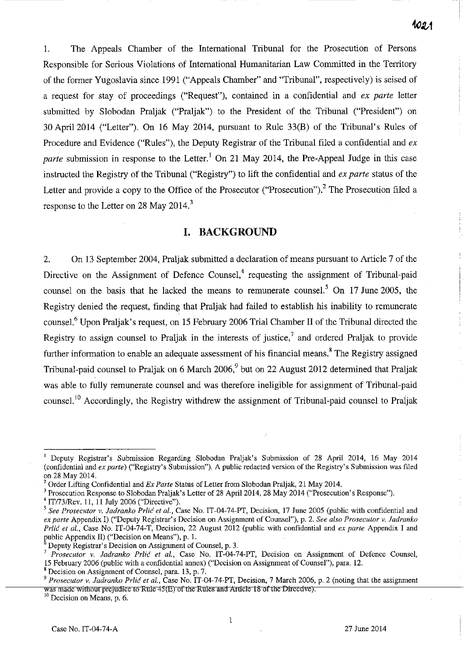1. The Appeals Chamber of the International Tribunal for the Prosecution of Persons Responsible for Serious Violations of International Humanitarian Law Committed in the Territory of the former Yugoslavia since 1991 ("Appeals Chamber" and "Tribunal", respectively) is seised of a request for stay of proceedings ("Request"), contained in a confidential and *ex parte* letter submitted by Slobodan Praljak ("Praljak") to the President of the Tribunal ("President") on 30 April 2014 ("Letter"), On 16 May 2014, pursuant to Rule 33(B) of the Tribunal's Rules of Procedure and Evidence ("Rules"), the Deputy Registrar of the Tribunal filed a confidential and *ex parte* submission in response to the Letter.<sup>1</sup> On 21 May 2014, the Pre-Appeal Judge in this case instructed the Registry of the Tribunal ("Registry") to lift the confidential and *ex parte* status of the Letter and provide a copy to the Office of the Prosecutor ("Prosecution").<sup>2</sup> The Prosecution filed a response to the Letter on 28 May 2014?

## **I. BACKGROUND**

2. On 13 September 2004, Praljak submitted a declaration of means pursuant to Article 7 of the Directive on the Assignment of Defence Counsel,<sup>4</sup> requesting the assignment of Tribunal-paid counsel on the basis that he lacked the means to remunerate counsel.<sup>5</sup> On 17 June 2005, the Registry denied the request, finding that Praljak had failed to establish his inability to remunerate counsel.<sup>6</sup> Upon Praljak's request, on 15 February 2006 Trial Chamber II of the Tribunal directed the Registry to assign counsel to Praljak in the interests of justice,<sup>7</sup> and ordered Praljak to provide further information to enable an adequate assessment of his financial means.<sup>8</sup> The Registry assigned Tribunal-paid counsel to Praljak on 6 March 2006,<sup>9</sup> but on 22 August 2012 determined that Praljak was able to fully remunerate counsel and was therefore ineligible for assignment of Tribunal-paid counsel.<sup>10</sup> Accordingly, the Registry withdrew the assignment of Tribunal-paid counsel to Praljak

 $4$  IT/73/Rev. 11, 11 July 2006 ("Directive").

**<sup>10</sup>Decision on Means, p. 6.** 

<sup>&</sup>lt;sup>1</sup> Deputy Registrar's Submission Regarding Slobodan Praljak's Submission of 28 April 2014, 16 May 2014 (confidential and *ex parte)* ("Registry's SUbmission"). A public redacted version of the Registry's Submission was filed on 28 May 2014.

<sup>2</sup> Order Lifting Confidential and *Ex Parte* Status of Letter from Siobodan Praljak, 21 May 2014.

<sup>3</sup> Prosecution Response to Slobodan Praljak's Letter of 28 April 2014, 28 May 2014 ("Prosecution's Response").

<sup>&</sup>lt;sup>5</sup> See Prosecutor v. Jadranko Prlić et al., Case No. IT-04-74-PT, Decision, 17 June 2005 (public with confidential and *ex parte* Appendix I) ("Deputy Registrar's Decision on Assignment of Counsel"), p. 2. *See also Prosecutor v. Jadranko Priić et al.*, Case No. IT-04-74-T, Decision, 22 August 2012 (public with confidential and *ex parte* Appendix I and public Appendix II) ("Decision on Means"), p. 1.

Deputy Registrar's Decision on Assigmnent of Counsel, p. 3.

<sup>7</sup>*Prosecutor v. ladranko* **Prlic** *et al.,* **Case No. IT-04-74-PT, Decision on Assignment of Defence Counsel,**  15 February 2006 (public with a confidential annex) ("Decision on Assignment of Counsel"), para. 12.

<sup>8</sup> Decision on Assigmnent of Counsel, para. 13, p. 7.

*<sup>9</sup> Prosecutor v. Jadranko Prlic et 01.,* Case No. IT-04-74-PT, Decision, 7 March 2006, p. 2 (noting that the assignment was made without prejudice to Rule  $45(E)$  of the Rules and Article 18 of the Directive).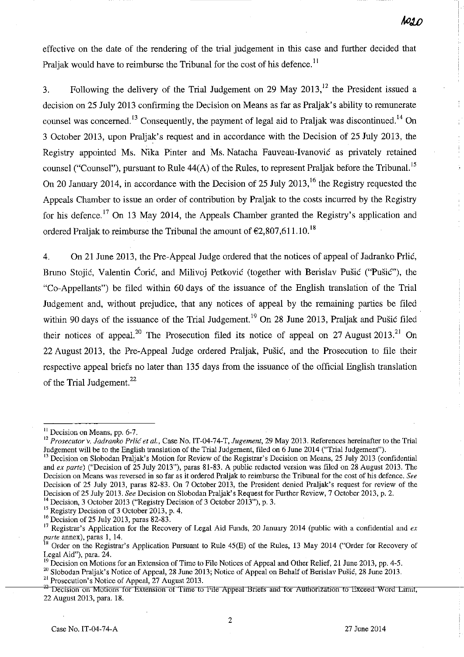effective on the date of the rendering of the trial judgement in this case and further decided that Praljak would have to reimburse the Tribunal for the cost of his defence.<sup>11</sup>

3. Following the delivery of the Trial Judgement on 29 May  $2013$ ,<sup>12</sup> the President issued a decision on 25 July 2013 confirming the Decision on Means as far as Praljak's ability to remunerate counsel was concerned.<sup>13</sup> Consequently, the payment of legal aid to Praljak was discontinued.<sup>14</sup> On 3 October 2013, upou Praljak's request and in accordance with the Decision of 25 July 2013, the Registry appointed Ms. Nika Pinter and Ms. Natacha Fauveau-Ivanovic as privately retained counsel ("Counsel"), pursuant to Rule 44(A) of the Rules, to represent Praljak before the Tribunal.<sup>15</sup> On 20 January 2014, in accordance with the Decision of 25 July 2013,<sup>16</sup> the Registry requested the Appeals Chamber to issue an order of contribution by Praljak to the costs incurred by the Registry for his defence.<sup>17</sup> On 13 May 2014, the Appeals Chamber granted the Registry's application and ordered Praljak to reimburse the Tribunal the amount of  $\epsilon$ 2,807,611.10.<sup>18</sup>

4. On 21 June 2013, the Pre-Appeal Judge ordered that the notices of appeal of Jadranko Prlić, Bruno Stojić, Valentin Ćorić, and Milivoj Petković (together with Berislav Pušić ("Pušić"), the "Co-Appellants") be filed within 60 days of the issuance of the English translation of the Trial Judgement and, without prejudice, that any notices of appeal by the remaining parties be filed within 90 days of the issuance of the Trial Judgement.<sup>19</sup> On 28 June 2013, Praljak and Pušić filed their notices of appeal.<sup>20</sup> The Prosecution filed its notice of appeal on 27 August 2013.<sup>21</sup> On 22 August 2013, the Pre-Appeal Judge ordered Praljak, Pusic, and the Prosecution to file their respective appeal briefs no later than 135 days from the issuance of the official English translation of the Trial Judgement. 22

<sup>14</sup> Decision, 3 October 2013 ("Registry Decision of 3 October 2013"), p. 3.

<sup>15</sup> Registry Decision of 3 October 2013, p. 4.

16 Decision of 25 July 2013. paras 82-83.

 $^{19}$  Decision on Motions for an Extension of Time to File Notices of Appeal and Other Relief, 21 June 2013, pp. 4-5.

**II Decision on Means, pp. 6-7.** 

<sup>&</sup>lt;sup>12</sup> Prosecutor v. Jadranko Prlić et al., Case No. IT-04-74-T, Jugement, 29 May 2013. References hereinafter to the Trial Judgement will be to the English translation of the Trial Judgement, filed on 6 June 2014 ("Trial Judgement").

<sup>&</sup>lt;sup>13</sup> Decision on Slobodan Praljak's Motion for Review of the Registrar's Decision on Means, 25 July 2013 (confidential and *ex parte)* ("Decision of 25 July 2013"), paras 81-83. A public redacted version was filed on 28 August 2013. The Decision on Means was reversed in so far as it ordered Praljak to reimburse the Tribunal for the cost of his defence. *See*  Decision of 25 July 2013, paras 82-83. On 7 October 2013, the President denied Praljak's request for review of the Decision of 25 July 2013. *See* Decision on Slobodan Praljak's Request for Further Review, 7 October 2013, p. 2.

<sup>17</sup> Registrar's Application for the Recovery of Legal Aid Funds, 20 January 2014 (public with a confidential and *ex parte* annex), paras I, 14.

<sup>&</sup>lt;sup>'\*</sup> Order on the Registrar's Application Pursuant to Rule 45(E) of the Rules, 13 May 2014 ("Order for Recovery of Legal Aid"), para. 24.

<sup>&</sup>lt;sup>20</sup> Slobodan Praljak's Notice of Appeal, 28 June 2013; Notice of Appeal on Behalf of Berislav Pušić, 28 June 2013. <sup>21</sup> Prosecution's Notice of Appeal, 27 August 2013.

 $^{22}$  Decision on Motions for Extension of Time to File Appeal-Briefs and for Authorization to Exceed-Word Limit, 22 August 2013, para. 18.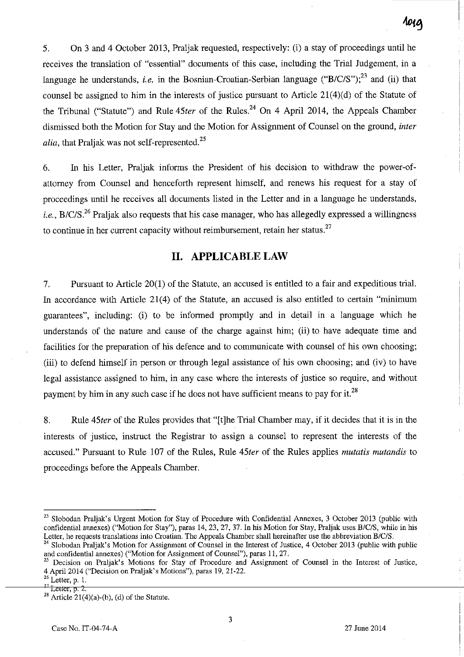# 1010

I I

5. On 3 and 4 October 2013, Praljak requested, respectively: (i) a stay of proceedings until he receives the translation of "essential" documents of this case, including the Trial Judgement, in a language he understands, *i.e.* in the Bosnian-Croatian-Serbian language ("B/C/S");<sup>23</sup> and (ii) that counsel be assigned to him in the interests of justice pursuant to Article 21(4)(d) of the Statute of the Tribunal ("Statute") and Rule *45ter* of the Rules. 24 On 4 April 2014, the Appeals Chamber dismissed both the Motion for Stay and the Motion for Assignment of Counsel on the ground, *inter alia,* that Praljak was not self-represented.<sup>25</sup>

6. In his Letter, Praljak informs the President of his decision to withdraw the power-ofattorney from Counsel and henceforth represent himself, and renews his request for a stay of proceedings until he receives all documents listed in the Letter and in a language he understands, *i.e., B/C/S?6* Praljak also requests that his case manager, who has allegedly expressed a willingness to continue in her current capacity without reimbursement, retain her status.<sup>27</sup>

### **II. APPLICABLE LAW**

7. Pursuant to Article 20(1) of the Statute, an accused is entitled to a fair and expeditious trial. In accordance with Article 21(4) of the Statute, an accused is also entitled to certain "minimum guarantees", including: (i) to be informed promptly and in detail in a language which he understands of the nature and cause of the charge against him; (ii) to have adequate time and facilities for the preparation of his defence and to communicate with counsel of his own choosing; (iii) to defend himself in person or through legal assistance of his own choosing; and (iv) to have legal assistance assigned to him, in any case where the interests of justice so require, and without payment by him in any such case if he does not have sufficient means to pay for it.<sup>28</sup>

8. Rule *45ter* of the Rules provides that "[tJhe Trial Chamber may, if it decides that it is in the interests of justice, instruct the Registrar to assign a counsel to represent the interests of the accused." Pursuant to Rule 107 of the Rules, Rule *45ter* of the Rules applies *mutatis mutandis* to proceedings before the Appeals Chamber.

<sup>&</sup>lt;sup>23</sup> Slobodan Praljak's Urgent Motion for Stay of Procedure with Confidential Annexes, 3 October 2013 (public with confidential annexes) ("Motion for Stay"), paras 14,23,27,37. In his Motion for Stay, Praljak uses *Blc/S,* while in his Letter, he requests translations into Croatian. The Appeals Chamber shall hereinafter use the abbreviation *B/c/S.* 

 $^{24}$  Slobodan Praljak's Motion for Assignment of Counsel in the Interest of Justice, 4 October 2013 (public with public and confidential annexes) ("Motion for Assignment of Counsel"), paras 11,27.

<sup>&</sup>lt;sup>25</sup> Decision on Praljak's Motions for Stay of Procedure and Assignment of Counsel in the Interest of Justice, 4 April 2014 ("Decision on Praljak's Motions"), paras 19, 21-22.

 $2^{\text{26}}$  Letter, p. 1.<br> $2^{\text{27}}$  Letter, p. 2.

 $28$  Article 21(4)(a)-(b), (d) of the Statute.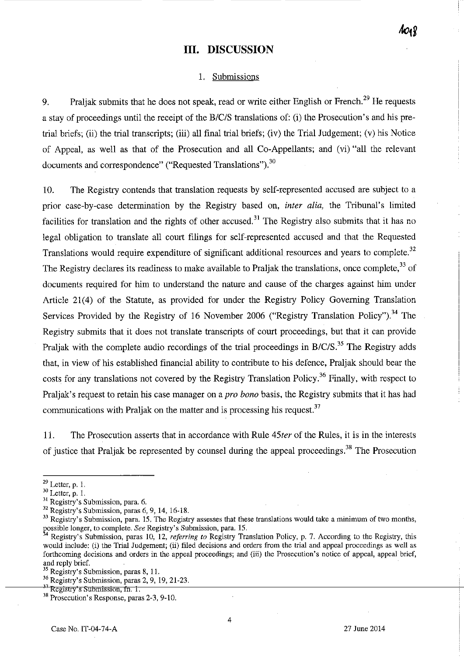### **III. DISCUSSION**

#### 1. Submissions

9. Praliak submits that he does not speak, read or write either English or French.<sup>29</sup> He requests a stay of proceedings until the receipt of the *BICIS* translations of: (i) the Prosecution's and his pretrial briefs; (ii) the trial transcripts; (iii) all final trial briefs; (iv) the Trial Judgement; (v) his Notice of Appeal, as well as that of the Prosecution and all Co-Appellants; and (vi) "all the relevant documents and correspondence" ("Requested Translations").<sup>30</sup>

10. The Registry contends that translation requests by self-represented accused are subject to a prior case-by-case determination by the Registry based on, *inter alia,* the Tribunal's limited facilities for translation and the rights of other accused.<sup>31</sup> The Registry also submits that it has no legal obligation to translate all court filings for self-represented accused and that the Requested Translations would require expenditure of significant additional resources and years to complete.<sup>32</sup> The Registry declares its readiness to make available to Praljak the translations, once complete,<sup>33</sup> of documents required for him to understand the nature and cause of the charges against him under Article 21(4) of the Statute, as provided for under the Registry Policy Governing Translation Services Provided by the Registry of 16 November 2006 ("Registry Translation Policy").<sup>34</sup> The Registry submits that it does not translate transcripts of court proceedings, but that it can provide Praljak with the complete audio recordings of the trial proceedings in *B/C/S?5* The Registry adds that, in view of his established financial ability to contribute to his defence, Praljak should bear the costs for any translations not covered by the Registry Translation Policy.<sup>36</sup> Finally, with respect to Praljak's request to retain his case manager on a *pro bono* basis, the Registry submits that it has had communications with Praljak on the matter and is processing his request.<sup>37</sup>

11. The Prosecution asserts that in accordance with Rule *45ter* of the Rules, it is in the interests of justice that Praljak be represented by counsel during the appeal proceedings.<sup>38</sup> The Prosecution

 $29$  Letter, p. 1.

 $30$  Letter, p. 1.

**<sup>31</sup>Registry's Submission, para. 6.** 

 $32$  Registry's Submission, paras 6, 9, 14, 16-18.

<sup>&</sup>lt;sup>33</sup> Registry's Submission, para. 15. The Registry assesses that these translations would take a minimum of two months, <sup>31</sup> Registry's Submission, para. 6.<br><sup>32</sup> Registry's Submission, paras 6, 9, 14, 16-18.<br><sup>32</sup> Registry's Submission, para. 15. The Registry assesses that these translations would take a minimum of two months,<br><sup>33</sup> Registry' on Figure 1. The Constant of the Constant of the annual of two months,<br><sup>34</sup> Registry's Submission, paras 10, 12, *referring to* Registry Translation Policy, p. 7. According to the Registry, this

would include: (i) the Trial Judgement; (ii) filed decisions and orders from the trial and appeal proceedings as well as forthcoming decisions and orders in the appeal proceedings; and (iii) the Prosecution's notice of appeal, appeal brief, and reply brief.

 $<sup>5</sup>$  Registry's Submission, paras 8, 11.</sup>

 $\frac{36}{5}$ Registry's Submission, paras 2, 9, 19, 21-23.<br> $\frac{37}{5}$ Registry's Submission, fn: 1.

**<sup>38</sup> Prosecution's Response, paras 2-3, 9-10.**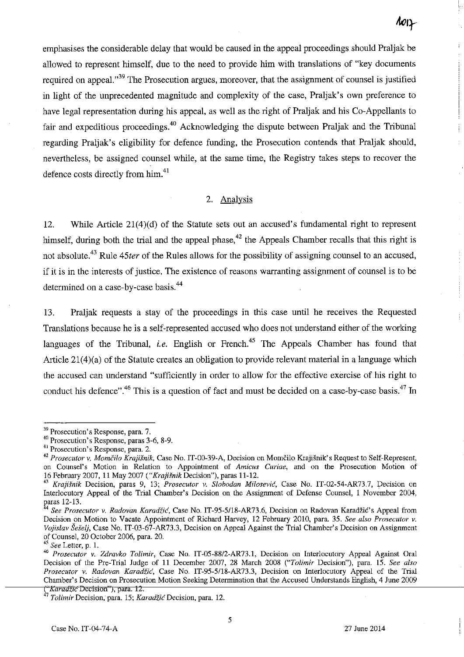## $A_0 \rightarrow$

emphasises the considerable delay that would be caused in the appeal proceedings should Praljak be allowed to represent himself, due to the need to provide him with translations of "key documents required on appeal.<sup>39</sup> The Prosecution argues, moreover, that the assignment of counsel is justified in light of the unprecedented magnitude and complexity of the case, Praljak's own preference to have legal representation during his appeal, as well as the right of Praljak and his Co-Appellants to fair and expeditious proceedings.<sup>40</sup> Acknowledging the dispute between Praljak and the Tribunal regarding Praljak's eligibility for defence funding, the Prosecution contends that Praljak should, nevertheless, be assigned counsel while, at the same time, the Registry takes steps to recover the defence costs directly from him.<sup>41</sup>

### 2. Analysis

12. While Article 21(4)(d) of the Statute sets out an accused's fundamental right to represent himself, during both the trial and the appeal phase,<sup>42</sup> the Appeals Chamber recalls that this right is not absolute.43 Rule *45ter* of the Rules allows for the possibility of assigning counsel to an accused, if it is in the interests of justice. The existence of reasons warranting assignment of counsel is to be determined on a case-by-case basis.<sup>44</sup>

13. Praljak requests a stay of the proceedings in this case until he receives the Requested Translations because he is a self-represented accused who does not understand either of the working languages of the Tribunal, *i.e.* English or French.<sup>45</sup> The Appeals Chamber has found that Article 21(4)(a) of the Statute creates an obligation to provide relevant material in a language which the accused can understand "sufficiently in order to allow for the effective exercise of his right to conduct his defence".<sup>46</sup> This is a question of fact and must be decided on a case-by-case basis.<sup>47</sup> In

**<sup>39</sup> Prosecution's Response, para. 7.** 

**<sup>40</sup> Prosecution's Response, paras 3-6,8-9.** 

**<sup>41</sup>Prosecution's Response, para. 2.** 

<sup>&</sup>lt;sup>42</sup> Prosecutor v. Momčilo Krajišnik, Case No. IT-00-39-A, Decision on Momčilo Krajišnik's Request to Self-Represent, **on Counsel's Motion in Relation to Appointment of** *Amicus Curiae,* **and on the Prosecution Motion of**  16 February 2007, 11 May 2007 *("Krajišnik Decision")*, paras 11-12.

<sup>43</sup>*Krajisnik* Decision, paras 9, 13; *Prosecutor v. Slohodan Milosevic,* Case No. IT-02-54-AR73.7, Decision on Interlocutory Appeal of the Trial Chamber's Decision on the Assignment of Defense Counsel, 1 November 2004, paras 12-13.

<sup>&</sup>lt;sup>4</sup> See Prosecutor v. Radovan Karadžić, Case No. IT-95-5/18-AR73.6, Decision on Radovan Karadžić's Appeal from Decision on Motion to Vacate Appointment of Richard Harvey, 12 February 2010, para. 35. *See also Prosecutor v. Vojislav SeSe/j,* Case No. IT-03-67-AR73.3, Decision on Appeal Against the Trial Chamber's Decision on Assignment of Counsel, 20 October 2006, para. 20.

*<sup>45</sup> See* Letter, p. 1.

*<sup>46</sup> Prosecutor v. Zdravko Tolimir,* Case No. *IT-05-88/2-AR73.1,* Decision on Interlocutory Appeal Against Oral Decision of the Pre-Trial Judge of 11 December 2007, 28 March 2008 *("Tolimir* Decision"), para. 15. *See also Prosecutor v. Radovan Karadiic,* Case No. IT-95-5118-AR73.3, Decision on Interlocutory Appeal of the Trial Chamber's Decision on Prosecution Motion Seeking Determination that the Accused Understands English, 4 June 2009 *----'('':KaraavcDeclsion'),* para. 12.

<sup>&</sup>lt;sup>47</sup> Tolimir Decision, para. 15; *Karadžić* Decision, para. 12.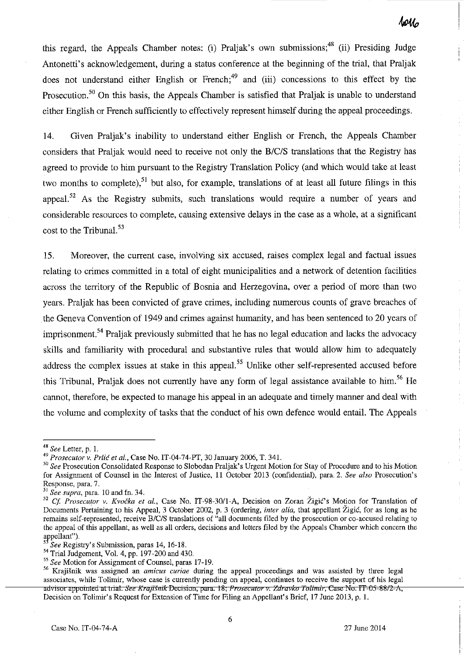this regard, the Appeals Chamber notes: (i) Praljak's own submissions;  $48$  (ii) Presiding Judge Antonetti's acknowledgement, during a status conference at the beginning of the trial, that Praljak does not understand either English or French;<sup>49</sup> and (iii) concessions to this effect by the Prosecution.<sup>50</sup> On this basis, the Appeals Chamber is satisfied that Praljak is unable to understand either English or French sufficiently to effectively represent himself during the appeal proceedings.

14. Given Praljak's inability to understand either English or French, the Appeals Chamber considers that Praljak would need to receive not only the BICIS translations that the Registry has agreed to provide to him pursuant to the Registry Translation Policy (and which would take at least two months to complete),<sup>51</sup> but also, for example, translations of at least all future filings in this appeal.<sup>52</sup> As the Registry submits, such translations would require a number of years and considerable resources to complete, causing extensive delays in the case as a whole, at a significant cost to the Tribunal. 53

15. Moreover, the current case, involving six accused, raises complex legal and factual issues relating to crimes committed in a total of eight municipalities and a network of detention facilities across the territory of the Republic of Bosnia and Herzegovina, over a period of more than two years. Praljak has been convicted of grave crimes, including numerous counts of grave breaches of the Geneva Convention of 1949 and crimes against humanity, and has been sentenced to 20 years of imprisonment.<sup>54</sup> Praljak previously submitted that he has no legal education and lacks the advocacy skills and familiarity with procedural and substantive rules that would allow him to adequately address the complex issues at stake in this appeal.<sup>55</sup> Unlike other self-represented accused before this Tribunal, Praljak does not currently have any form of legal assistance available to him.<sup>56</sup> He cannot, therefore, be expected to manage his appeal in an adequate and timely manner and deal with the volume and complexity of tasks that the conduct of his own defence would entail. The Appeals

<sup>&#</sup>x27;" *See* Letter, p. 1.

<sup>49</sup>*Prosecutor v. Prlic et al.,* Case No. IT-04-74-PT, 30 January 2006, T. 341.

*<sup>50</sup> See* Prosecution Consolidated Response to Slobodan Praljak's Urgent Motion for Stay of Procedure and to his Motion for Assignment of Counsel in the Interest of Justice, 11 October 2013 (confidential), para. 2. *See also* Prosecution's Response, para. 7.

<sup>51</sup>*See supra,* para. 10 and fn. 34.

*<sup>52</sup> q Prosecutor v. Kvocka et al.,* Case No. IT-98-30/l-A, Decision on Zoran ZigiC's Motion for Translation of Documents Pertaining to his Appeal, 3 October 2002, p. 3 (ordering, *inter alia,* that appellant Zigic, for as long as he remains self-represented, receive *B/c/S* translations of "all documents filed by the prosecution or co-accused relating to the appeal of this appellant, as well as all orders, decisions and letters filed by the Appeals Chamber which concern the appellant") .

*<sup>5</sup> See* Registry's Submission, paras 14, 16-18.

 $54$  Trial Judgement, Vol. 4, pp. 197-200 and 430.

*<sup>55</sup> See* Motion for Assignment of Counsel, paras 17-19.

**<sup>56</sup> Krajisnik was assigned an** *amicus curiae* **during the appeal proceedings and was assisted by three legal**  Krajismik was assigned an *amicus curide* during the appeal proceedings and was assisted by time legal<br>associates, while Tolimir, whose case is currently pending on appeal, continues to receive the support of his legal<br>adv Decision on Tolimir's Request for Extension of Time for Filing an Appellant's Brief, 17 June 2013, p. 1.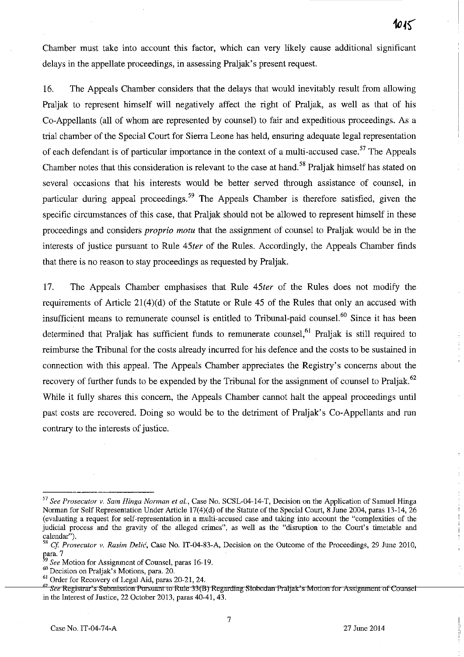Chamber must take into account this factor, which can very likely cause additional significant delays in the appellate proceedings, in assessing Praljak's present request.

16. The Appeals Chamber considers that the delays that would inevitably result from allowing Praljak to represent himself will negatively affect the right of Praljak, as well as that of his Co-Appellants (all of whom are represented by counsel) to fair and expeditious proceedings. As a trial chamber of the Special Court for Sierra Leone has held, ensuring adequate legal representation of each defendant is of particular importance in the context of a multi-accused case.<sup>57</sup> The Appeals Chamber notes that this consideration is relevant to the case at hand.<sup>58</sup> Praljak himself has stated on several occasions that his interests would be better served through assistance of counsel, in particular during appeal proceedings.<sup>59</sup> The Appeals Chamber is therefore satisfied, given the specific circumstances of this case, that Praljak should not be allowed to represent himself in these proceedings and considers *proprio motu* that the assignment of counsel to Praljak would be in the interests of justice pursuant to Rule *45ter* of the Rules. Accordingly, the Appeals Chamber finds that there is no reason to stay proceedings as requested by Praljak.

17. The Appeals Chamber emphasises that Rule *45ter* of the Rules does not modify the requirements of Article 21(4)(d) of the Statute or Rule 45 of the Rules that only an accused with insufficient means to remunerate counsel is entitled to Tribunal-paid counsel.<sup>60</sup> Since it has been determined that Praljak has sufficient funds to remunerate counsel,<sup>61</sup> Praljak is still required to reimburse the Tribunal for the costs already incurred for his defence and the costs to be sustained in connection with this appeal. The Appeals Chamber appreciates the Registry's concerns about the recovery of further funds to be expended by the Tribunal for the assignment of counsel to Praljak.<sup>62</sup> While it fully shares this concern, the Appeals Chamber cannot halt the appeal proceedings until past costs are recovered. Doing so would be to the detriment of Praljak's Co-Appellants and run contrary to the interests of justice.

<sup>57</sup>*See Prosecutor* v. *Sam Binga Norman et al.,* Case No. SCSL-04-14-T, Decision on the Application of Samuel Ringa Norman for Self Representation Under Article 17(4)(d) of the Statute of the Special Court,  $\hat{\delta}$  June 2004, paras 13-14, 26 **(evaluating a request for self-representation in a multi-accused case and taking into account the "complexities of the**  judicial process and the gravity of the alleged crimes", as well as the "disruption to the Court's timetable and calendar").<br> $58 C^2$ 

<sup>58</sup>*Cf Prosecutor* v. *Rasim Delic,* Case No. IT-04-83-A, Decision on the Outcome of the Proceedings, 29 June 2010, para. $7 \overline{)}$ 

See Motion for Assignment of Counsel, paras 16-19.

<sup>&</sup>lt;sup>60</sup> Decision on Praljak's Motions, para. 20.

<sup>&</sup>lt;sup>61</sup> Order for Recovery of Legal Aid, paras 20-21, 24.

<sup>&</sup>lt;sup>62</sup> See Registrar's Submission Pursuant to Rule 33(B) Regarding Slobodan Praljak's Motion for Assignment of Counsel in the Interest of Justice, 22 October 2013, paras 40-41, 43.